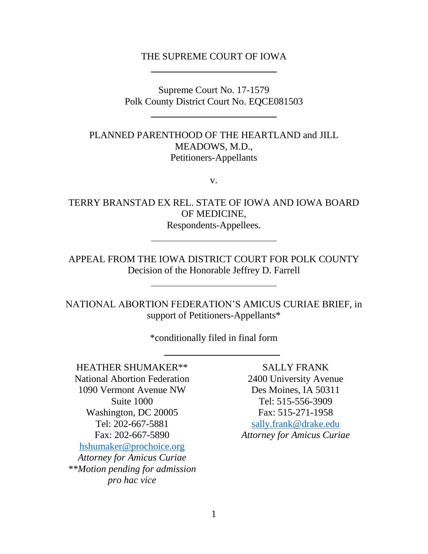### THE SUPREME COURT OF IOWA

Supreme Court No. 17-1579 Polk County District Court No. EQCE081503

PLANNED PARENTHOOD OF THE HEARTLAND and JILL MEADOWS, M.D., Petitioners-Appellants

v.

TERRY BRANSTAD EX REL. STATE OF IOWA AND IOWA BOARD OF MEDICINE, Respondents-Appellees.

APPEAL FROM THE IOWA DISTRICT COURT FOR POLK COUNTY Decision of the Honorable Jeffrey D. Farrell

NATIONAL ABORTION FEDERATION'S AMICUS CURIAE BRIEF, in support of Petitioners-Appellants\*

\*conditionally filed in final form

HEATHER SHUMAKER\*\* National Abortion Federation 1090 Vermont Avenue NW Suite 1000 Washington, DC 20005 Tel: 202-667-5881 Fax: 202-667-5890 [hshumaker@prochoice.org](mailto:roxlaw@aol.com) *Attorney for Amicus Curiae \*\*Motion pending for admission pro hac vice*

SALLY FRANK 2400 University Avenue Des Moines, IA 50311 Tel: 515-556-3909 Fax: 515-271-1958 [sally.frank@drake.edu](mailto:sally.frank@drake.edu) *Attorney for Amicus Curiae*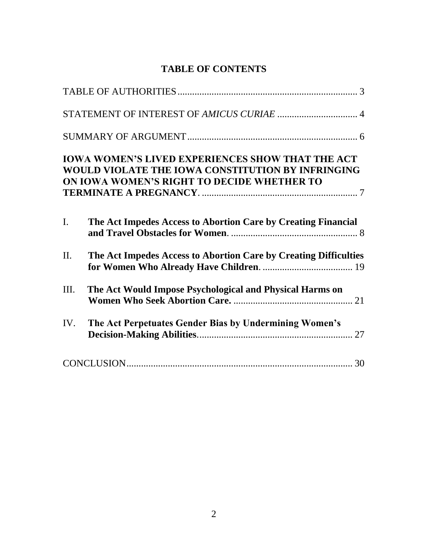# **TABLE OF CONTENTS**

|         | <b>IOWA WOMEN'S LIVED EXPERIENCES SHOW THAT THE ACT</b><br>WOULD VIOLATE THE IOWA CONSTITUTION BY INFRINGING<br>ON IOWA WOMEN'S RIGHT TO DECIDE WHETHER TO |
|---------|------------------------------------------------------------------------------------------------------------------------------------------------------------|
| I.      | The Act Impedes Access to Abortion Care by Creating Financial                                                                                              |
| $\Pi$ . | The Act Impedes Access to Abortion Care by Creating Difficulties                                                                                           |
| Ш.      | The Act Would Impose Psychological and Physical Harms on                                                                                                   |
| IV.     | The Act Perpetuates Gender Bias by Undermining Women's                                                                                                     |
|         |                                                                                                                                                            |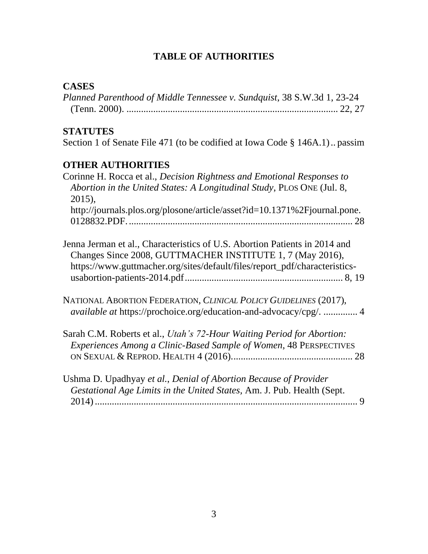# **TABLE OF AUTHORITIES**

# **CASES**

| Planned Parenthood of Middle Tennessee v. Sundquist, 38 S.W.3d 1, 23-24 |  |
|-------------------------------------------------------------------------|--|
|                                                                         |  |

# **STATUTES**

Section 1 of Senate File 471 (to be codified at Iowa Code § 146A.1).. passim

# **OTHER AUTHORITIES**

| Corinne H. Rocca et al., <i>Decision Rightness and Emotional Responses to</i>                                                                                                                                         |  |
|-----------------------------------------------------------------------------------------------------------------------------------------------------------------------------------------------------------------------|--|
| Abortion in the United States: A Longitudinal Study, PLOS ONE (Jul. 8,<br>2015),                                                                                                                                      |  |
| http://journals.plos.org/plosone/article/asset?id=10.1371%2Fjournal.pone.                                                                                                                                             |  |
| Jenna Jerman et al., Characteristics of U.S. Abortion Patients in 2014 and<br>Changes Since 2008, GUTTMACHER INSTITUTE 1, 7 (May 2016),<br>https://www.guttmacher.org/sites/default/files/report_pdf/characteristics- |  |
| NATIONAL ABORTION FEDERATION, CLINICAL POLICY GUIDELINES (2017),<br><i>available at https://prochoice.org/education-and-advocacy/cpg/</i> 4                                                                           |  |
| Sarah C.M. Roberts et al., <i>Utah's 72-Hour Waiting Period for Abortion</i> :<br>Experiences Among a Clinic-Based Sample of Women, 48 PERSPECTIVES                                                                   |  |
| Ushma D. Upadhyay et al., Denial of Abortion Because of Provider<br>Gestational Age Limits in the United States, Am. J. Pub. Health (Sept.                                                                            |  |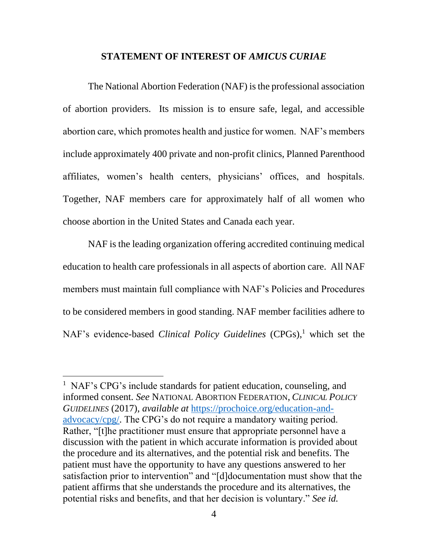#### **STATEMENT OF INTEREST OF** *AMICUS CURIAE*

The National Abortion Federation (NAF) is the professional association of abortion providers. Its mission is to ensure safe, legal, and accessible abortion care, which promotes health and justice for women. NAF's members include approximately 400 private and non-profit clinics, Planned Parenthood affiliates, women's health centers, physicians' offices, and hospitals. Together, NAF members care for approximately half of all women who choose abortion in the United States and Canada each year.

NAF is the leading organization offering accredited continuing medical education to health care professionals in all aspects of abortion care. All NAF members must maintain full compliance with NAF's Policies and Procedures to be considered members in good standing. NAF member facilities adhere to NAF's evidence-based *Clinical Policy Guidelines* (CPGs), <sup>1</sup> which set the

 $\overline{\phantom{a}}$ 

<sup>&</sup>lt;sup>1</sup> NAF's CPG's include standards for patient education, counseling, and informed consent. *See* NATIONAL ABORTION FEDERATION, *CLINICAL POLICY GUIDELINES* (2017), *available at* [https://prochoice.org/education-and](https://prochoice.org/education-and-advocacy/cpg/)[advocacy/cpg/.](https://prochoice.org/education-and-advocacy/cpg/) The CPG's do not require a mandatory waiting period. Rather, "[t]he practitioner must ensure that appropriate personnel have a discussion with the patient in which accurate information is provided about the procedure and its alternatives, and the potential risk and benefits. The patient must have the opportunity to have any questions answered to her satisfaction prior to intervention" and "[d]documentation must show that the patient affirms that she understands the procedure and its alternatives, the potential risks and benefits, and that her decision is voluntary." *See id.*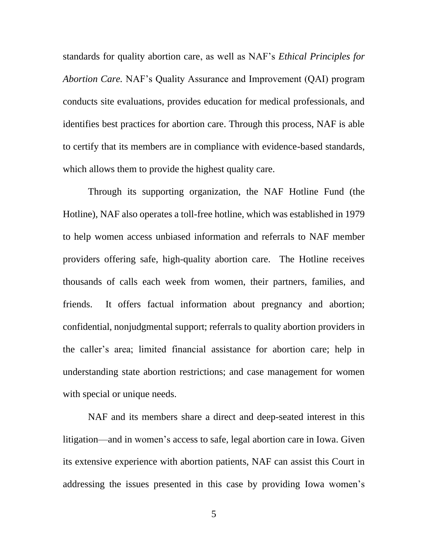standards for quality abortion care, as well as NAF's *Ethical Principles for Abortion Care.* NAF's Quality Assurance and Improvement (QAI) program conducts site evaluations, provides education for medical professionals, and identifies best practices for abortion care. Through this process, NAF is able to certify that its members are in compliance with evidence-based standards, which allows them to provide the highest quality care.

Through its supporting organization, the NAF Hotline Fund (the Hotline), NAF also operates a toll-free hotline, which was established in 1979 to help women access unbiased information and referrals to NAF member providers offering safe, high-quality abortion care. The Hotline receives thousands of calls each week from women, their partners, families, and friends. It offers factual information about pregnancy and abortion; confidential, nonjudgmental support; referrals to quality abortion providers in the caller's area; limited financial assistance for abortion care; help in understanding state abortion restrictions; and case management for women with special or unique needs.

NAF and its members share a direct and deep-seated interest in this litigation—and in women's access to safe, legal abortion care in Iowa. Given its extensive experience with abortion patients, NAF can assist this Court in addressing the issues presented in this case by providing Iowa women's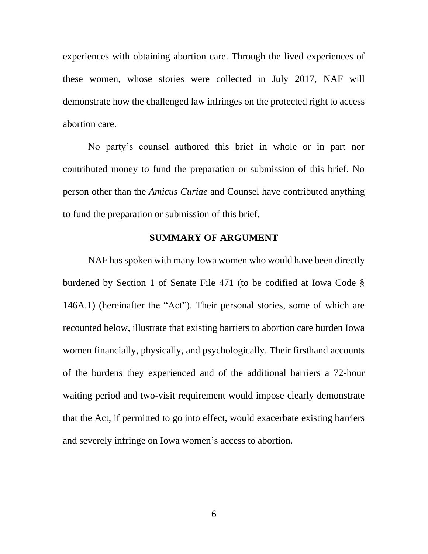experiences with obtaining abortion care. Through the lived experiences of these women, whose stories were collected in July 2017, NAF will demonstrate how the challenged law infringes on the protected right to access abortion care.

No party's counsel authored this brief in whole or in part nor contributed money to fund the preparation or submission of this brief. No person other than the *Amicus Curiae* and Counsel have contributed anything to fund the preparation or submission of this brief.

#### **SUMMARY OF ARGUMENT**

NAF has spoken with many Iowa women who would have been directly burdened by Section 1 of Senate File 471 (to be codified at Iowa Code § 146A.1) (hereinafter the "Act"). Their personal stories, some of which are recounted below, illustrate that existing barriers to abortion care burden Iowa women financially, physically, and psychologically. Their firsthand accounts of the burdens they experienced and of the additional barriers a 72-hour waiting period and two-visit requirement would impose clearly demonstrate that the Act, if permitted to go into effect, would exacerbate existing barriers and severely infringe on Iowa women's access to abortion.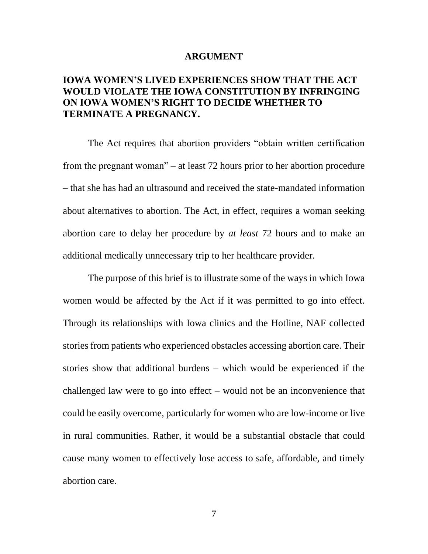#### **ARGUMENT**

## **IOWA WOMEN'S LIVED EXPERIENCES SHOW THAT THE ACT WOULD VIOLATE THE IOWA CONSTITUTION BY INFRINGING ON IOWA WOMEN'S RIGHT TO DECIDE WHETHER TO TERMINATE A PREGNANCY.**

The Act requires that abortion providers "obtain written certification from the pregnant woman" – at least 72 hours prior to her abortion procedure – that she has had an ultrasound and received the state-mandated information about alternatives to abortion. The Act, in effect, requires a woman seeking abortion care to delay her procedure by *at least* 72 hours and to make an additional medically unnecessary trip to her healthcare provider.

The purpose of this brief is to illustrate some of the ways in which Iowa women would be affected by the Act if it was permitted to go into effect. Through its relationships with Iowa clinics and the Hotline, NAF collected stories from patients who experienced obstacles accessing abortion care. Their stories show that additional burdens – which would be experienced if the challenged law were to go into effect – would not be an inconvenience that could be easily overcome, particularly for women who are low-income or live in rural communities. Rather, it would be a substantial obstacle that could cause many women to effectively lose access to safe, affordable, and timely abortion care.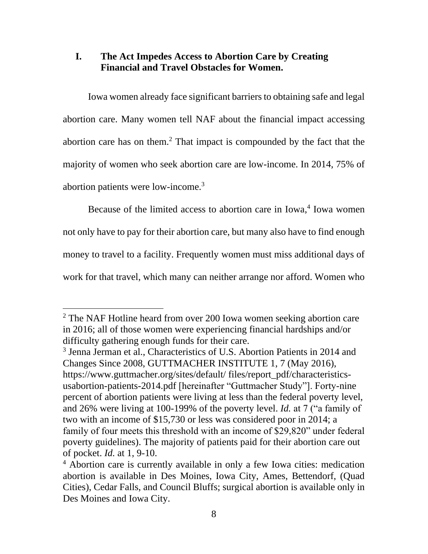# **I. The Act Impedes Access to Abortion Care by Creating Financial and Travel Obstacles for Women.**

Iowa women already face significant barriers to obtaining safe and legal abortion care. Many women tell NAF about the financial impact accessing abortion care has on them. <sup>2</sup> That impact is compounded by the fact that the majority of women who seek abortion care are low-income. In 2014, 75% of abortion patients were low-income. 3

Because of the limited access to abortion care in Iowa, 4 Iowa women not only have to pay for their abortion care, but many also have to find enough money to travel to a facility. Frequently women must miss additional days of work for that travel, which many can neither arrange nor afford. Women who

 $\overline{\phantom{a}}$ 

<sup>&</sup>lt;sup>2</sup> The NAF Hotline heard from over 200 Iowa women seeking abortion care in 2016; all of those women were experiencing financial hardships and/or difficulty gathering enough funds for their care.

<sup>3</sup> Jenna Jerman et al., Characteristics of U.S. Abortion Patients in 2014 and Changes Since 2008, GUTTMACHER INSTITUTE 1, 7 (May 2016), https://www.guttmacher.org/sites/default/ files/report\_pdf/characteristicsusabortion-patients-2014.pdf [hereinafter "Guttmacher Study"]. Forty-nine percent of abortion patients were living at less than the federal poverty level, and 26% were living at 100-199% of the poverty level. *Id.* at 7 ("a family of two with an income of \$15,730 or less was considered poor in 2014; a family of four meets this threshold with an income of \$29,820" under federal poverty guidelines). The majority of patients paid for their abortion care out of pocket. *Id.* at 1, 9-10.

<sup>&</sup>lt;sup>4</sup> Abortion care is currently available in only a few Iowa cities: medication abortion is available in Des Moines, Iowa City, Ames, Bettendorf, (Quad Cities), Cedar Falls, and Council Bluffs; surgical abortion is available only in Des Moines and Iowa City.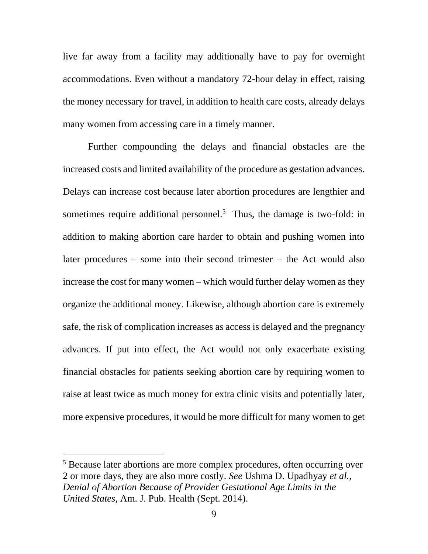live far away from a facility may additionally have to pay for overnight accommodations. Even without a mandatory 72-hour delay in effect, raising the money necessary for travel, in addition to health care costs, already delays many women from accessing care in a timely manner.

Further compounding the delays and financial obstacles are the increased costs and limited availability of the procedure as gestation advances. Delays can increase cost because later abortion procedures are lengthier and sometimes require additional personnel.<sup>5</sup> Thus, the damage is two-fold: in addition to making abortion care harder to obtain and pushing women into later procedures – some into their second trimester – the Act would also increase the cost for many women – which would further delay women as they organize the additional money. Likewise, although abortion care is extremely safe, the risk of complication increases as access is delayed and the pregnancy advances. If put into effect, the Act would not only exacerbate existing financial obstacles for patients seeking abortion care by requiring women to raise at least twice as much money for extra clinic visits and potentially later, more expensive procedures, it would be more difficult for many women to get

 $\overline{\phantom{a}}$ 

<sup>&</sup>lt;sup>5</sup> Because later abortions are more complex procedures, often occurring over 2 or more days, they are also more costly. *See* Ushma D. Upadhyay *et al.*, *Denial of Abortion Because of Provider Gestational Age Limits in the United States,* Am. J. Pub. Health (Sept. 2014).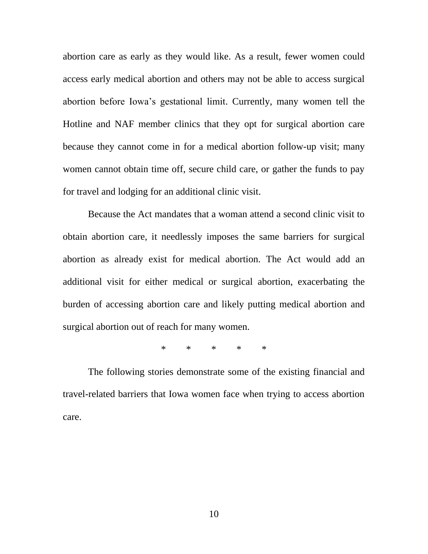abortion care as early as they would like. As a result, fewer women could access early medical abortion and others may not be able to access surgical abortion before Iowa's gestational limit. Currently, many women tell the Hotline and NAF member clinics that they opt for surgical abortion care because they cannot come in for a medical abortion follow-up visit; many women cannot obtain time off, secure child care, or gather the funds to pay for travel and lodging for an additional clinic visit.

Because the Act mandates that a woman attend a second clinic visit to obtain abortion care, it needlessly imposes the same barriers for surgical abortion as already exist for medical abortion. The Act would add an additional visit for either medical or surgical abortion, exacerbating the burden of accessing abortion care and likely putting medical abortion and surgical abortion out of reach for many women.

\* \* \* \* \*

The following stories demonstrate some of the existing financial and travel-related barriers that Iowa women face when trying to access abortion care.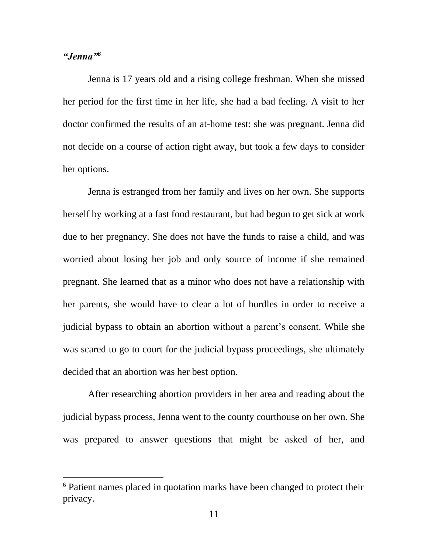### *"Jenna"<sup>6</sup>*

 $\overline{\phantom{a}}$ 

Jenna is 17 years old and a rising college freshman. When she missed her period for the first time in her life, she had a bad feeling. A visit to her doctor confirmed the results of an at-home test: she was pregnant. Jenna did not decide on a course of action right away, but took a few days to consider her options.

Jenna is estranged from her family and lives on her own. She supports herself by working at a fast food restaurant, but had begun to get sick at work due to her pregnancy. She does not have the funds to raise a child, and was worried about losing her job and only source of income if she remained pregnant. She learned that as a minor who does not have a relationship with her parents, she would have to clear a lot of hurdles in order to receive a judicial bypass to obtain an abortion without a parent's consent. While she was scared to go to court for the judicial bypass proceedings, she ultimately decided that an abortion was her best option.

After researching abortion providers in her area and reading about the judicial bypass process, Jenna went to the county courthouse on her own. She was prepared to answer questions that might be asked of her, and

<sup>6</sup> Patient names placed in quotation marks have been changed to protect their privacy.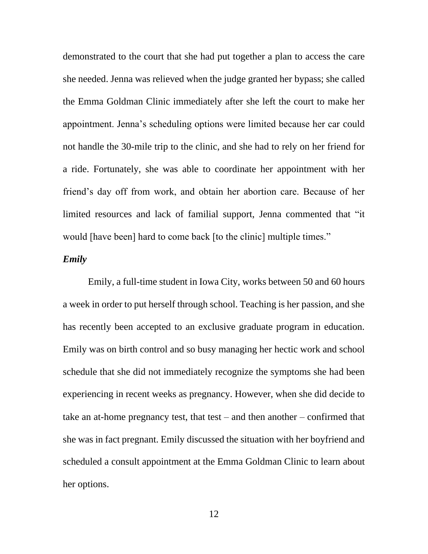demonstrated to the court that she had put together a plan to access the care she needed. Jenna was relieved when the judge granted her bypass; she called the Emma Goldman Clinic immediately after she left the court to make her appointment. Jenna's scheduling options were limited because her car could not handle the 30-mile trip to the clinic, and she had to rely on her friend for a ride. Fortunately, she was able to coordinate her appointment with her friend's day off from work, and obtain her abortion care. Because of her limited resources and lack of familial support, Jenna commented that "it would [have been] hard to come back [to the clinic] multiple times."

## *Emily*

Emily, a full-time student in Iowa City, works between 50 and 60 hours a week in order to put herself through school. Teaching is her passion, and she has recently been accepted to an exclusive graduate program in education. Emily was on birth control and so busy managing her hectic work and school schedule that she did not immediately recognize the symptoms she had been experiencing in recent weeks as pregnancy. However, when she did decide to take an at-home pregnancy test, that test – and then another – confirmed that she was in fact pregnant. Emily discussed the situation with her boyfriend and scheduled a consult appointment at the Emma Goldman Clinic to learn about her options.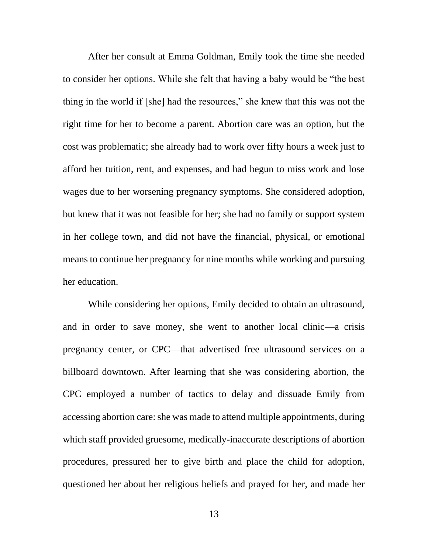After her consult at Emma Goldman, Emily took the time she needed to consider her options. While she felt that having a baby would be "the best thing in the world if [she] had the resources," she knew that this was not the right time for her to become a parent. Abortion care was an option, but the cost was problematic; she already had to work over fifty hours a week just to afford her tuition, rent, and expenses, and had begun to miss work and lose wages due to her worsening pregnancy symptoms. She considered adoption, but knew that it was not feasible for her; she had no family or support system in her college town, and did not have the financial, physical, or emotional means to continue her pregnancy for nine months while working and pursuing her education.

While considering her options, Emily decided to obtain an ultrasound, and in order to save money, she went to another local clinic—a crisis pregnancy center, or CPC—that advertised free ultrasound services on a billboard downtown. After learning that she was considering abortion, the CPC employed a number of tactics to delay and dissuade Emily from accessing abortion care: she was made to attend multiple appointments, during which staff provided gruesome, medically-inaccurate descriptions of abortion procedures, pressured her to give birth and place the child for adoption, questioned her about her religious beliefs and prayed for her, and made her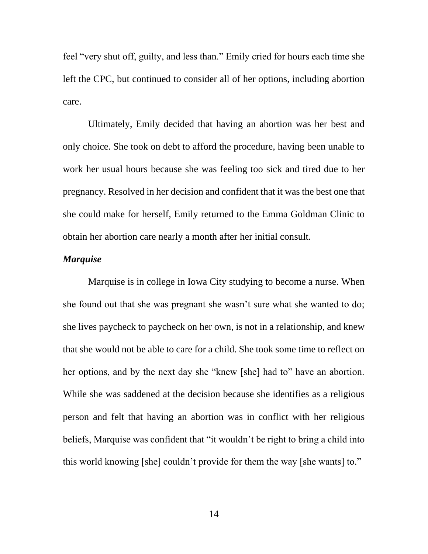feel "very shut off, guilty, and less than." Emily cried for hours each time she left the CPC, but continued to consider all of her options, including abortion care.

Ultimately, Emily decided that having an abortion was her best and only choice. She took on debt to afford the procedure, having been unable to work her usual hours because she was feeling too sick and tired due to her pregnancy. Resolved in her decision and confident that it was the best one that she could make for herself, Emily returned to the Emma Goldman Clinic to obtain her abortion care nearly a month after her initial consult.

## *Marquise*

Marquise is in college in Iowa City studying to become a nurse. When she found out that she was pregnant she wasn't sure what she wanted to do; she lives paycheck to paycheck on her own, is not in a relationship, and knew that she would not be able to care for a child. She took some time to reflect on her options, and by the next day she "knew [she] had to" have an abortion. While she was saddened at the decision because she identifies as a religious person and felt that having an abortion was in conflict with her religious beliefs, Marquise was confident that "it wouldn't be right to bring a child into this world knowing [she] couldn't provide for them the way [she wants] to."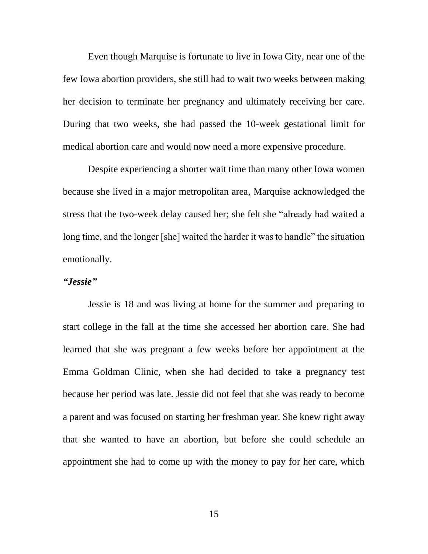Even though Marquise is fortunate to live in Iowa City, near one of the few Iowa abortion providers, she still had to wait two weeks between making her decision to terminate her pregnancy and ultimately receiving her care. During that two weeks, she had passed the 10-week gestational limit for medical abortion care and would now need a more expensive procedure.

Despite experiencing a shorter wait time than many other Iowa women because she lived in a major metropolitan area, Marquise acknowledged the stress that the two-week delay caused her; she felt she "already had waited a long time, and the longer [she] waited the harder it was to handle" the situation emotionally.

#### *"Jessie"*

Jessie is 18 and was living at home for the summer and preparing to start college in the fall at the time she accessed her abortion care. She had learned that she was pregnant a few weeks before her appointment at the Emma Goldman Clinic, when she had decided to take a pregnancy test because her period was late. Jessie did not feel that she was ready to become a parent and was focused on starting her freshman year. She knew right away that she wanted to have an abortion, but before she could schedule an appointment she had to come up with the money to pay for her care, which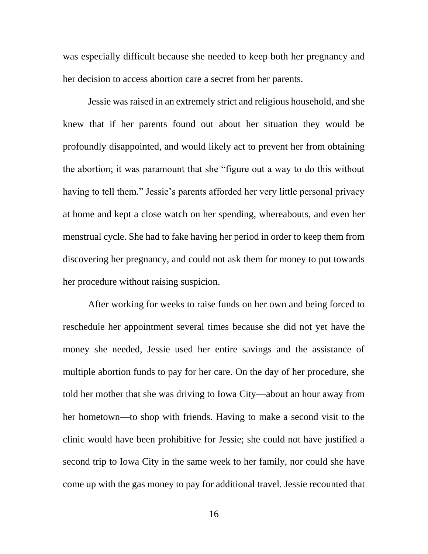was especially difficult because she needed to keep both her pregnancy and her decision to access abortion care a secret from her parents.

Jessie was raised in an extremely strict and religious household, and she knew that if her parents found out about her situation they would be profoundly disappointed, and would likely act to prevent her from obtaining the abortion; it was paramount that she "figure out a way to do this without having to tell them." Jessie's parents afforded her very little personal privacy at home and kept a close watch on her spending, whereabouts, and even her menstrual cycle. She had to fake having her period in order to keep them from discovering her pregnancy, and could not ask them for money to put towards her procedure without raising suspicion.

After working for weeks to raise funds on her own and being forced to reschedule her appointment several times because she did not yet have the money she needed, Jessie used her entire savings and the assistance of multiple abortion funds to pay for her care. On the day of her procedure, she told her mother that she was driving to Iowa City—about an hour away from her hometown—to shop with friends. Having to make a second visit to the clinic would have been prohibitive for Jessie; she could not have justified a second trip to Iowa City in the same week to her family, nor could she have come up with the gas money to pay for additional travel. Jessie recounted that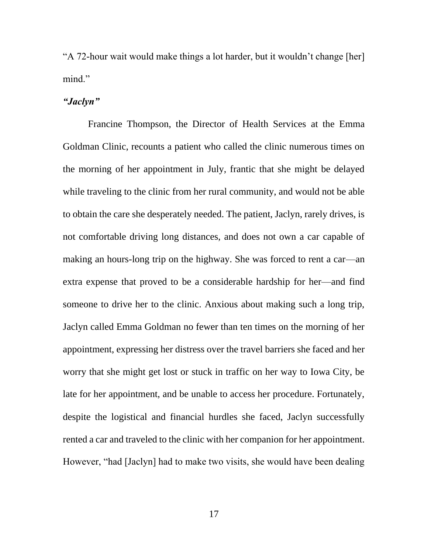"A 72-hour wait would make things a lot harder, but it wouldn't change [her] mind."

## *"Jaclyn"*

Francine Thompson, the Director of Health Services at the Emma Goldman Clinic, recounts a patient who called the clinic numerous times on the morning of her appointment in July, frantic that she might be delayed while traveling to the clinic from her rural community, and would not be able to obtain the care she desperately needed. The patient, Jaclyn, rarely drives, is not comfortable driving long distances, and does not own a car capable of making an hours-long trip on the highway. She was forced to rent a car—an extra expense that proved to be a considerable hardship for her—and find someone to drive her to the clinic. Anxious about making such a long trip, Jaclyn called Emma Goldman no fewer than ten times on the morning of her appointment, expressing her distress over the travel barriers she faced and her worry that she might get lost or stuck in traffic on her way to Iowa City, be late for her appointment, and be unable to access her procedure. Fortunately, despite the logistical and financial hurdles she faced, Jaclyn successfully rented a car and traveled to the clinic with her companion for her appointment. However, "had [Jaclyn] had to make two visits, she would have been dealing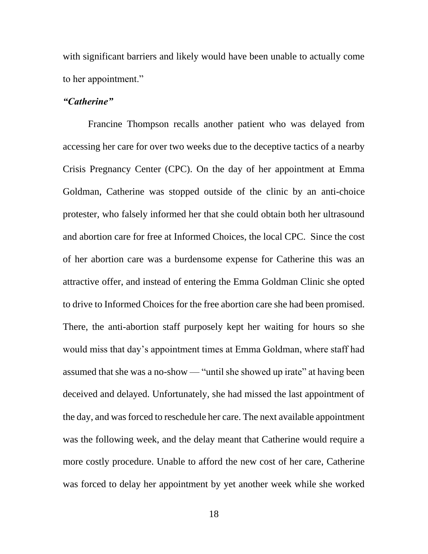with significant barriers and likely would have been unable to actually come to her appointment."

## *"Catherine"*

Francine Thompson recalls another patient who was delayed from accessing her care for over two weeks due to the deceptive tactics of a nearby Crisis Pregnancy Center (CPC). On the day of her appointment at Emma Goldman, Catherine was stopped outside of the clinic by an anti-choice protester, who falsely informed her that she could obtain both her ultrasound and abortion care for free at Informed Choices, the local CPC. Since the cost of her abortion care was a burdensome expense for Catherine this was an attractive offer, and instead of entering the Emma Goldman Clinic she opted to drive to Informed Choices for the free abortion care she had been promised. There, the anti-abortion staff purposely kept her waiting for hours so she would miss that day's appointment times at Emma Goldman, where staff had assumed that she was a no-show — "until she showed up irate" at having been deceived and delayed. Unfortunately, she had missed the last appointment of the day, and was forced to reschedule her care. The next available appointment was the following week, and the delay meant that Catherine would require a more costly procedure. Unable to afford the new cost of her care, Catherine was forced to delay her appointment by yet another week while she worked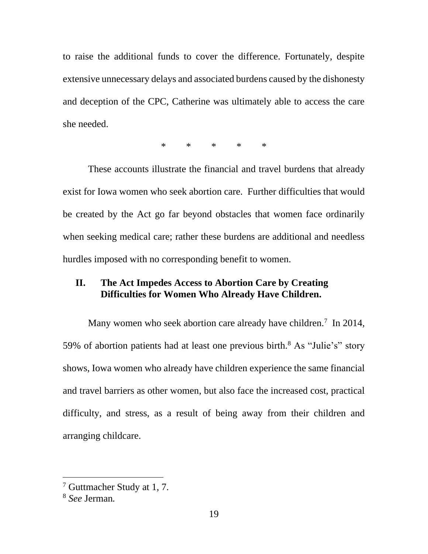to raise the additional funds to cover the difference. Fortunately, despite extensive unnecessary delays and associated burdens caused by the dishonesty and deception of the CPC, Catherine was ultimately able to access the care she needed.

\* \* \* \* \*

These accounts illustrate the financial and travel burdens that already exist for Iowa women who seek abortion care. Further difficulties that would be created by the Act go far beyond obstacles that women face ordinarily when seeking medical care; rather these burdens are additional and needless hurdles imposed with no corresponding benefit to women.

# **II. The Act Impedes Access to Abortion Care by Creating Difficulties for Women Who Already Have Children.**

Many women who seek abortion care already have children.<sup>7</sup> In 2014, 59% of abortion patients had at least one previous birth.<sup>8</sup> As "Julie's" story shows, Iowa women who already have children experience the same financial and travel barriers as other women, but also face the increased cost, practical difficulty, and stress, as a result of being away from their children and arranging childcare.

 $\overline{\phantom{a}}$ 

<sup>7</sup> Guttmacher Study at 1, 7.

<sup>8</sup> *See* Jerman*.*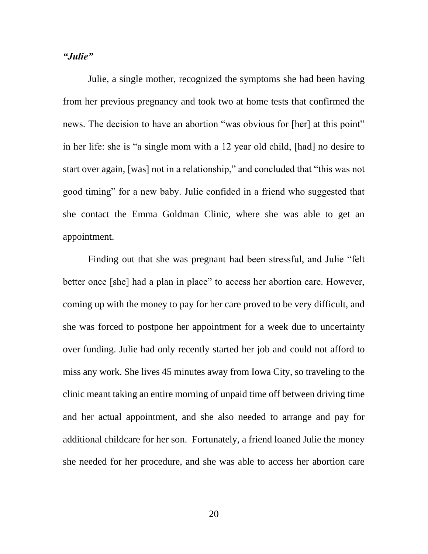#### *"Julie"*

Julie, a single mother, recognized the symptoms she had been having from her previous pregnancy and took two at home tests that confirmed the news. The decision to have an abortion "was obvious for [her] at this point" in her life: she is "a single mom with a 12 year old child, [had] no desire to start over again, [was] not in a relationship," and concluded that "this was not good timing" for a new baby. Julie confided in a friend who suggested that she contact the Emma Goldman Clinic, where she was able to get an appointment.

Finding out that she was pregnant had been stressful, and Julie "felt better once [she] had a plan in place" to access her abortion care. However, coming up with the money to pay for her care proved to be very difficult, and she was forced to postpone her appointment for a week due to uncertainty over funding. Julie had only recently started her job and could not afford to miss any work. She lives 45 minutes away from Iowa City, so traveling to the clinic meant taking an entire morning of unpaid time off between driving time and her actual appointment, and she also needed to arrange and pay for additional childcare for her son. Fortunately, a friend loaned Julie the money she needed for her procedure, and she was able to access her abortion care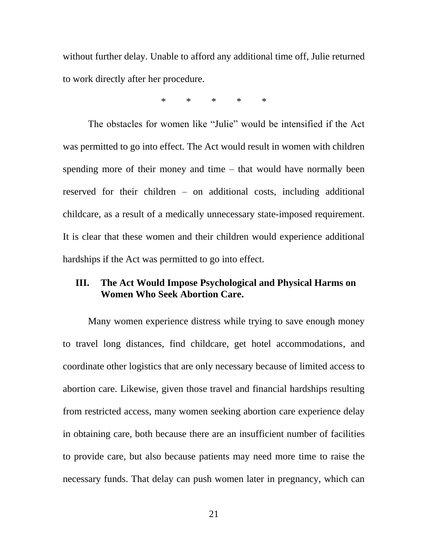without further delay. Unable to afford any additional time off, Julie returned to work directly after her procedure.

\* \* \* \* \*

The obstacles for women like "Julie" would be intensified if the Act was permitted to go into effect. The Act would result in women with children spending more of their money and time – that would have normally been reserved for their children – on additional costs, including additional childcare, as a result of a medically unnecessary state-imposed requirement. It is clear that these women and their children would experience additional hardships if the Act was permitted to go into effect.

# **III. The Act Would Impose Psychological and Physical Harms on Women Who Seek Abortion Care.**

Many women experience distress while trying to save enough money to travel long distances, find childcare, get hotel accommodations, and coordinate other logistics that are only necessary because of limited access to abortion care. Likewise, given those travel and financial hardships resulting from restricted access, many women seeking abortion care experience delay in obtaining care, both because there are an insufficient number of facilities to provide care, but also because patients may need more time to raise the necessary funds. That delay can push women later in pregnancy, which can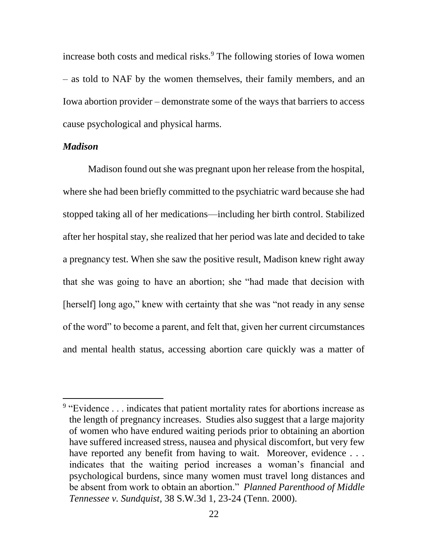increase both costs and medical risks.<sup>9</sup> The following stories of Iowa women – as told to NAF by the women themselves, their family members, and an Iowa abortion provider – demonstrate some of the ways that barriers to access cause psychological and physical harms.

#### *Madison*

 $\overline{a}$ 

Madison found out she was pregnant upon her release from the hospital, where she had been briefly committed to the psychiatric ward because she had stopped taking all of her medications—including her birth control. Stabilized after her hospital stay, she realized that her period was late and decided to take a pregnancy test. When she saw the positive result, Madison knew right away that she was going to have an abortion; she "had made that decision with [herself] long ago," knew with certainty that she was "not ready in any sense of the word" to become a parent, and felt that, given her current circumstances and mental health status, accessing abortion care quickly was a matter of

<sup>&</sup>lt;sup>9</sup> "Evidence . . . indicates that patient mortality rates for abortions increase as the length of pregnancy increases. Studies also suggest that a large majority of women who have endured waiting periods prior to obtaining an abortion have suffered increased stress, nausea and physical discomfort, but very few have reported any benefit from having to wait. Moreover, evidence . . . indicates that the waiting period increases a woman's financial and psychological burdens, since many women must travel long distances and be absent from work to obtain an abortion." *Planned Parenthood of Middle Tennessee v. Sundquist*, 38 S.W.3d 1, 23-24 (Tenn. 2000).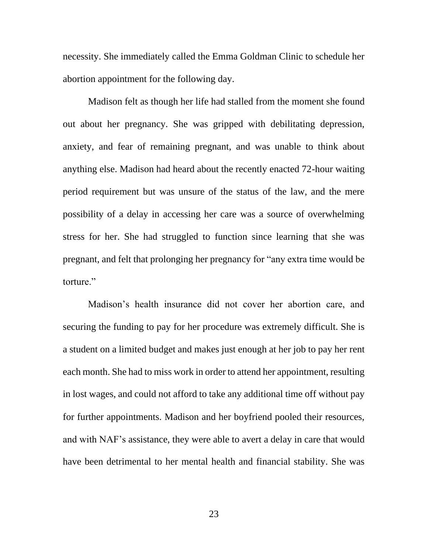necessity. She immediately called the Emma Goldman Clinic to schedule her abortion appointment for the following day.

Madison felt as though her life had stalled from the moment she found out about her pregnancy. She was gripped with debilitating depression, anxiety, and fear of remaining pregnant, and was unable to think about anything else. Madison had heard about the recently enacted 72-hour waiting period requirement but was unsure of the status of the law, and the mere possibility of a delay in accessing her care was a source of overwhelming stress for her. She had struggled to function since learning that she was pregnant, and felt that prolonging her pregnancy for "any extra time would be torture."

Madison's health insurance did not cover her abortion care, and securing the funding to pay for her procedure was extremely difficult. She is a student on a limited budget and makes just enough at her job to pay her rent each month. She had to miss work in order to attend her appointment, resulting in lost wages, and could not afford to take any additional time off without pay for further appointments. Madison and her boyfriend pooled their resources, and with NAF's assistance, they were able to avert a delay in care that would have been detrimental to her mental health and financial stability. She was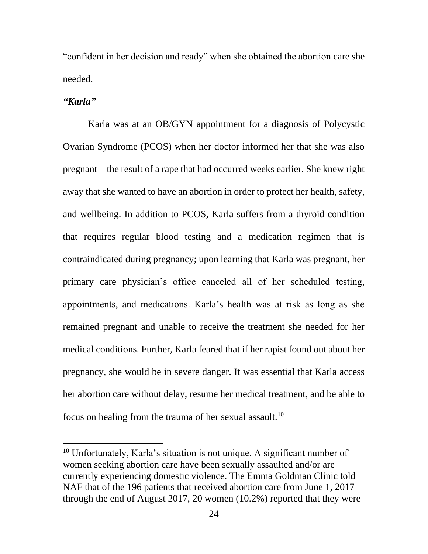"confident in her decision and ready" when she obtained the abortion care she needed.

### *"Karla"*

 $\overline{\phantom{a}}$ 

Karla was at an OB/GYN appointment for a diagnosis of Polycystic Ovarian Syndrome (PCOS) when her doctor informed her that she was also pregnant—the result of a rape that had occurred weeks earlier. She knew right away that she wanted to have an abortion in order to protect her health, safety, and wellbeing. In addition to PCOS, Karla suffers from a thyroid condition that requires regular blood testing and a medication regimen that is contraindicated during pregnancy; upon learning that Karla was pregnant, her primary care physician's office canceled all of her scheduled testing, appointments, and medications. Karla's health was at risk as long as she remained pregnant and unable to receive the treatment she needed for her medical conditions. Further, Karla feared that if her rapist found out about her pregnancy, she would be in severe danger. It was essential that Karla access her abortion care without delay, resume her medical treatment, and be able to focus on healing from the trauma of her sexual assault.<sup>10</sup>

<sup>10</sup> Unfortunately, Karla's situation is not unique. A significant number of women seeking abortion care have been sexually assaulted and/or are currently experiencing domestic violence. The Emma Goldman Clinic told NAF that of the 196 patients that received abortion care from June 1, 2017 through the end of August 2017, 20 women (10.2%) reported that they were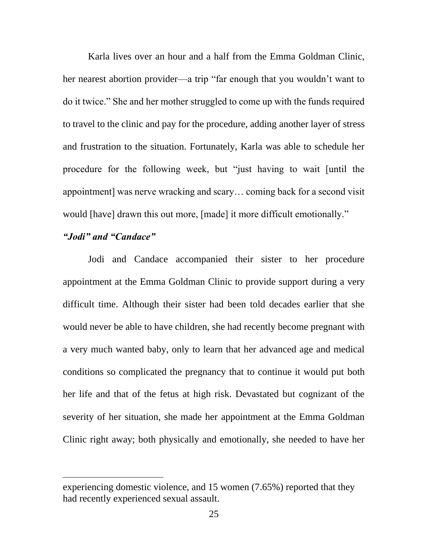Karla lives over an hour and a half from the Emma Goldman Clinic, her nearest abortion provider—a trip "far enough that you wouldn't want to do it twice." She and her mother struggled to come up with the funds required to travel to the clinic and pay for the procedure, adding another layer of stress and frustration to the situation. Fortunately, Karla was able to schedule her procedure for the following week, but "just having to wait [until the appointment] was nerve wracking and scary… coming back for a second visit would [have] drawn this out more, [made] it more difficult emotionally."

## *"Jodi" and "Candace"*

 $\overline{\phantom{a}}$ 

Jodi and Candace accompanied their sister to her procedure appointment at the Emma Goldman Clinic to provide support during a very difficult time. Although their sister had been told decades earlier that she would never be able to have children, she had recently become pregnant with a very much wanted baby, only to learn that her advanced age and medical conditions so complicated the pregnancy that to continue it would put both her life and that of the fetus at high risk. Devastated but cognizant of the severity of her situation, she made her appointment at the Emma Goldman Clinic right away; both physically and emotionally, she needed to have her

experiencing domestic violence, and 15 women (7.65%) reported that they had recently experienced sexual assault.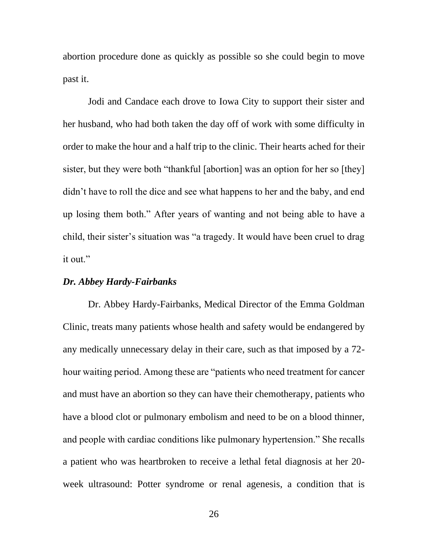abortion procedure done as quickly as possible so she could begin to move past it.

Jodi and Candace each drove to Iowa City to support their sister and her husband, who had both taken the day off of work with some difficulty in order to make the hour and a half trip to the clinic. Their hearts ached for their sister, but they were both "thankful [abortion] was an option for her so [they] didn't have to roll the dice and see what happens to her and the baby, and end up losing them both." After years of wanting and not being able to have a child, their sister's situation was "a tragedy. It would have been cruel to drag it out."

#### *Dr. Abbey Hardy-Fairbanks*

Dr. Abbey Hardy-Fairbanks, Medical Director of the Emma Goldman Clinic, treats many patients whose health and safety would be endangered by any medically unnecessary delay in their care, such as that imposed by a 72 hour waiting period. Among these are "patients who need treatment for cancer and must have an abortion so they can have their chemotherapy, patients who have a blood clot or pulmonary embolism and need to be on a blood thinner, and people with cardiac conditions like pulmonary hypertension." She recalls a patient who was heartbroken to receive a lethal fetal diagnosis at her 20 week ultrasound: Potter syndrome or renal agenesis, a condition that is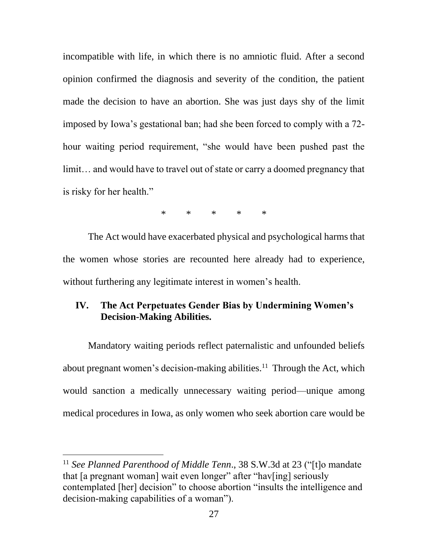incompatible with life, in which there is no amniotic fluid. After a second opinion confirmed the diagnosis and severity of the condition, the patient made the decision to have an abortion. She was just days shy of the limit imposed by Iowa's gestational ban; had she been forced to comply with a 72 hour waiting period requirement, "she would have been pushed past the limit… and would have to travel out of state or carry a doomed pregnancy that is risky for her health."

\* \* \* \* \*

The Act would have exacerbated physical and psychological harms that the women whose stories are recounted here already had to experience, without furthering any legitimate interest in women's health.

# **IV. The Act Perpetuates Gender Bias by Undermining Women's Decision-Making Abilities.**

Mandatory waiting periods reflect paternalistic and unfounded beliefs about pregnant women's decision-making abilities.<sup>11</sup> Through the Act, which would sanction a medically unnecessary waiting period—unique among medical procedures in Iowa, as only women who seek abortion care would be

 $\overline{\phantom{a}}$ 

<sup>11</sup> *See Planned Parenthood of Middle Tenn*., 38 S.W.3d at 23 ("[t]o mandate that [a pregnant woman] wait even longer" after "hav[ing] seriously contemplated [her] decision" to choose abortion "insults the intelligence and decision-making capabilities of a woman").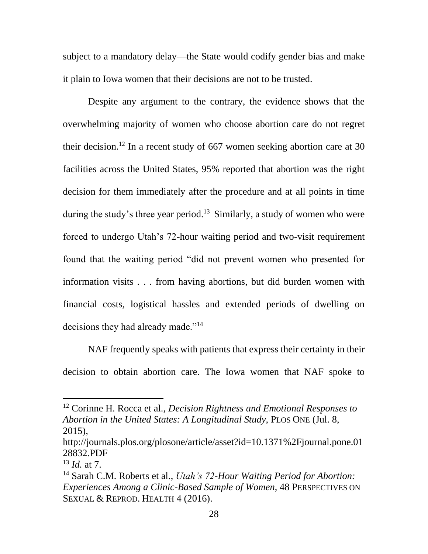subject to a mandatory delay—the State would codify gender bias and make it plain to Iowa women that their decisions are not to be trusted.

Despite any argument to the contrary, the evidence shows that the overwhelming majority of women who choose abortion care do not regret their decision. <sup>12</sup> In a recent study of 667 women seeking abortion care at 30 facilities across the United States, 95% reported that abortion was the right decision for them immediately after the procedure and at all points in time during the study's three year period.<sup>13</sup> Similarly, a study of women who were forced to undergo Utah's 72-hour waiting period and two-visit requirement found that the waiting period "did not prevent women who presented for information visits . . . from having abortions, but did burden women with financial costs, logistical hassles and extended periods of dwelling on decisions they had already made."<sup>14</sup>

NAF frequently speaks with patients that express their certainty in their decision to obtain abortion care. The Iowa women that NAF spoke to

 $\overline{a}$ 

<sup>12</sup> Corinne H. Rocca et al., *Decision Rightness and Emotional Responses to Abortion in the United States: A Longitudinal Study*, PLOS ONE (Jul. 8, 2015),

http://journals.plos.org/plosone/article/asset?id=10.1371%2Fjournal.pone.01 28832.PDF

<sup>13</sup> *Id.* at 7.

<sup>14</sup> Sarah C.M. Roberts et al., *Utah's 72-Hour Waiting Period for Abortion: Experiences Among a Clinic-Based Sample of Women*, 48 PERSPECTIVES ON SEXUAL & REPROD. HEALTH 4 (2016).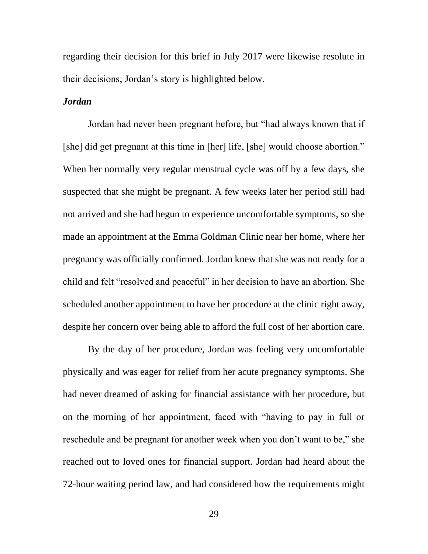regarding their decision for this brief in July 2017 were likewise resolute in their decisions; Jordan's story is highlighted below.

### *Jordan*

Jordan had never been pregnant before, but "had always known that if [she] did get pregnant at this time in [her] life, [she] would choose abortion." When her normally very regular menstrual cycle was off by a few days, she suspected that she might be pregnant. A few weeks later her period still had not arrived and she had begun to experience uncomfortable symptoms, so she made an appointment at the Emma Goldman Clinic near her home, where her pregnancy was officially confirmed. Jordan knew that she was not ready for a child and felt "resolved and peaceful" in her decision to have an abortion. She scheduled another appointment to have her procedure at the clinic right away, despite her concern over being able to afford the full cost of her abortion care.

By the day of her procedure, Jordan was feeling very uncomfortable physically and was eager for relief from her acute pregnancy symptoms. She had never dreamed of asking for financial assistance with her procedure, but on the morning of her appointment, faced with "having to pay in full or reschedule and be pregnant for another week when you don't want to be," she reached out to loved ones for financial support. Jordan had heard about the 72-hour waiting period law, and had considered how the requirements might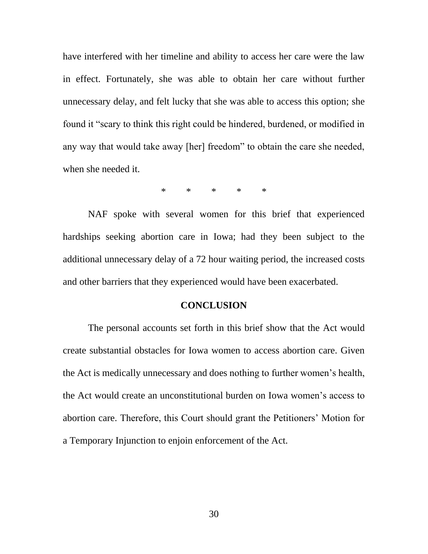have interfered with her timeline and ability to access her care were the law in effect. Fortunately, she was able to obtain her care without further unnecessary delay, and felt lucky that she was able to access this option; she found it "scary to think this right could be hindered, burdened, or modified in any way that would take away [her] freedom" to obtain the care she needed, when she needed it.

\* \* \* \* \*

NAF spoke with several women for this brief that experienced hardships seeking abortion care in Iowa; had they been subject to the additional unnecessary delay of a 72 hour waiting period, the increased costs and other barriers that they experienced would have been exacerbated.

#### **CONCLUSION**

The personal accounts set forth in this brief show that the Act would create substantial obstacles for Iowa women to access abortion care. Given the Act is medically unnecessary and does nothing to further women's health, the Act would create an unconstitutional burden on Iowa women's access to abortion care. Therefore, this Court should grant the Petitioners' Motion for a Temporary Injunction to enjoin enforcement of the Act.